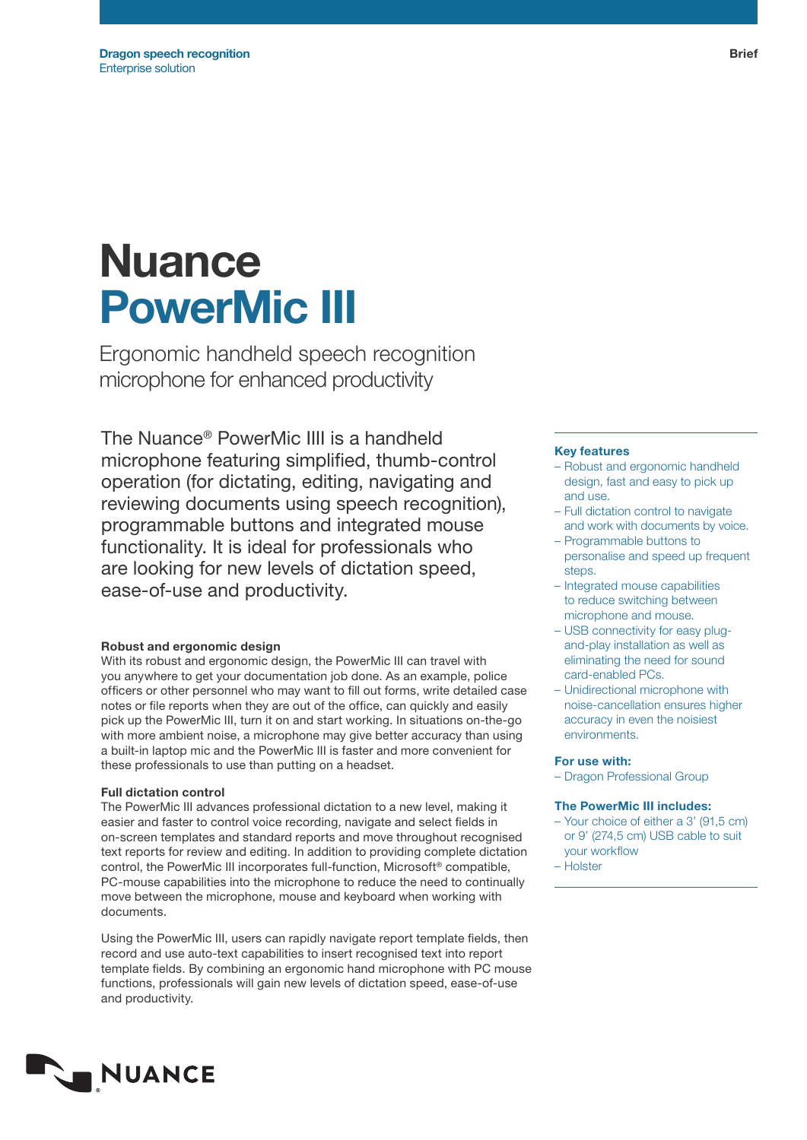# **Nuance** PowerMic III

Ergonomic handheld speech recognition microphone for enhanced productivity

The Nuance® PowerMic IIII is a handheld microphone featuring simplified, thumb-control operation (for dictating, editing, navigating and reviewing documents using speech recognition), programmable buttons and integrated mouse functionality. It is ideal for professionals who are looking for new levels of dictation speed, ease-of-use and productivity.

# Robust and ergonomic design

With its robust and ergonomic design, the PowerMic III can travel with you anywhere to get your documentation job done. As an example, police officers or other personnel who may want to fill out forms, write detailed case notes or file reports when they are out of the office, can quickly and easily pick up the PowerMic III, turn it on and start working. In situations on-the-go with more ambient noise, a microphone may give better accuracy than using a built-in laptop mic and the PowerMic III is faster and more convenient for these professionals to use than putting on a headset.

# Full dictation control

The PowerMic III advances professional dictation to a new level, making it easier and faster to control voice recording, navigate and select fields in on-screen templates and standard reports and move throughout recognised text reports for review and editing. In addition to providing complete dictation control, the PowerMic III incorporates full-function, Microsoft® compatible, PC-mouse capabilities into the microphone to reduce the need to continually move between the microphone, mouse and keyboard when working with documents.

Using the PowerMic III, users can rapidly navigate report template fields, then record and use auto-text capabilities to insert recognised text into report template fields. By combining an ergonomic hand microphone with PC mouse functions, professionals will gain new levels of dictation speed, ease-of-use and productivity.

# Key features

- Robust and ergonomic handheld design, fast and easy to pick up and use.
- Full dictation control to navigate and work with documents by voice.
- Programmable buttons to personalise and speed up frequent steps.
- Integrated mouse capabilities to reduce switching between microphone and mouse.
- USB connectivity for easy plugand-play installation as well as eliminating the need for sound card-enabled PCs.
- Unidirectional microphone with noise-cancellation ensures higher accuracy in even the noisiest environments.

## For use with:

– Dragon Professional Group

# The PowerMic III includes:

- Your choice of either a 3' (91,5 cm) or 9' (274,5 cm) USB cable to suit your workflow
- Holster

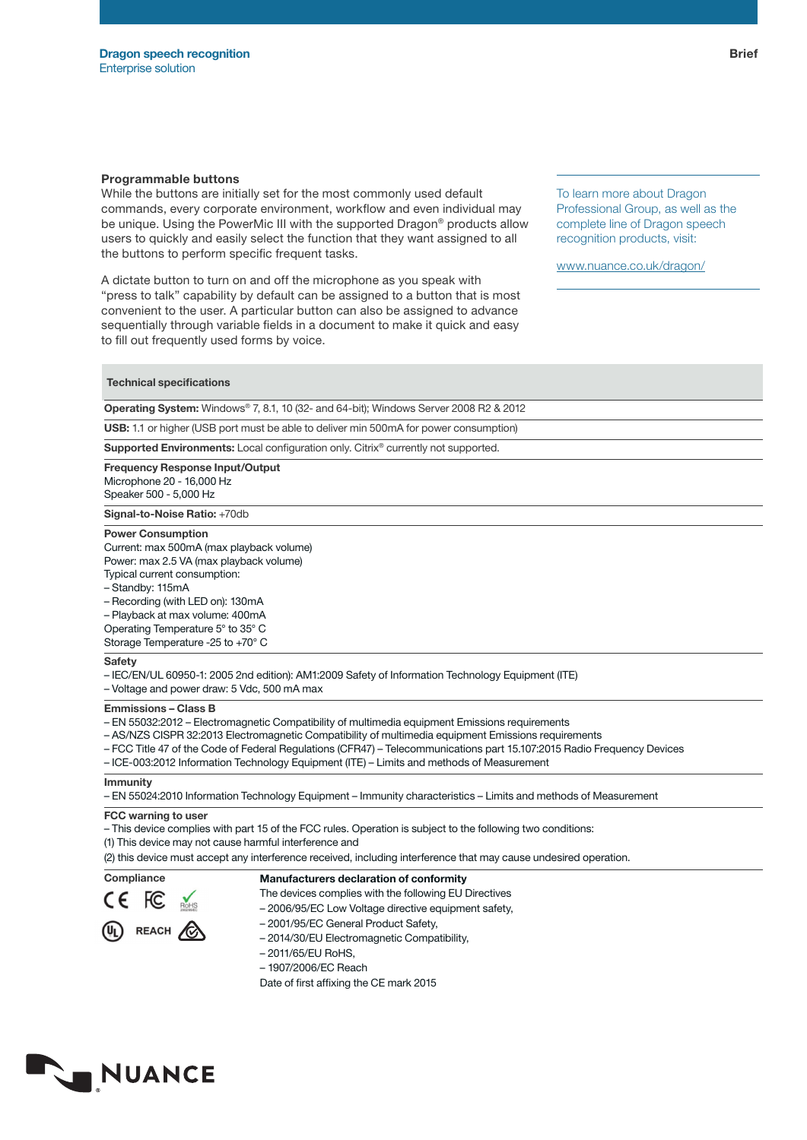# Programmable buttons

While the buttons are initially set for the most commonly used default commands, every corporate environment, workflow and even individual may be unique. Using the PowerMic III with the supported Dragon® products allow users to quickly and easily select the function that they want assigned to all the buttons to perform specific frequent tasks.

A dictate button to turn on and off the microphone as you speak with "press to talk" capability by default can be assigned to a button that is most convenient to the user. A particular button can also be assigned to advance sequentially through variable fields in a document to make it quick and easy to fill out frequently used forms by voice.

To learn more about Dragon Professional Group, as well as the complete line of Dragon speech recognition products, visit:

www.nuance.co.uk/dragon/

# Technical specifications

Operating System: Windows® 7, 8.1, 10 (32- and 64-bit); Windows Server 2008 R2 & 2012

USB: 1.1 or higher (USB port must be able to deliver min 500mA for power consumption)

Supported Environments: Local configuration only. Citrix® currently not supported.

Frequency Response Input/Output Microphone 20 - 16,000 Hz Speaker 500 - 5,000 Hz

Signal-to-Noise Ratio: +70db

#### Power Consumption

Current: max 500mA (max playback volume) Power: max 2.5 VA (max playback volume) Typical current consumption:

– Standby: 115mA

– Recording (with LED on): 130mA

– Playback at max volume: 400mA

Operating Temperature 5° to 35° C Storage Temperature -25 to +70° C

#### **Safety**

– IEC/EN/UL 60950-1: 2005 2nd edition): AM1:2009 Safety of Information Technology Equipment (ITE)

– Voltage and power draw: 5 Vdc, 500 mA max

### Emmissions – Class B

– EN 55032:2012 – Electromagnetic Compatibility of multimedia equipment Emissions requirements

- AS/NZS CISPR 32:2013 Electromagnetic Compatibility of multimedia equipment Emissions requirements
- FCC Title 47 of the Code of Federal Regulations (CFR47) Telecommunications part 15.107:2015 Radio Frequency Devices
- ICE-003:2012 Information Technology Equipment (ITE) Limits and methods of Measurement

#### Immunity

– EN 55024:2010 Information Technology Equipment – Immunity characteristics – Limits and methods of Measurement

#### FCC warning to user

– This device complies with part 15 of the FCC rules. Operation is subject to the following two conditions:

(1) This device may not cause harmful interference and

(2) this device must accept any interference received, including interference that may cause undesired operation.

# Compliance Manufacturers declaration of conformity

- The devices complies with the following EU Directives
- 2006/95/EC Low Voltage directive equipment safety,



- 2001/95/EC General Product Safety, – 2014/30/EU Electromagnetic Compatibility,
- 2011/65/EU RoHS,
- 1907/2006/EC Reach

Date of first affixing the CE mark 2015